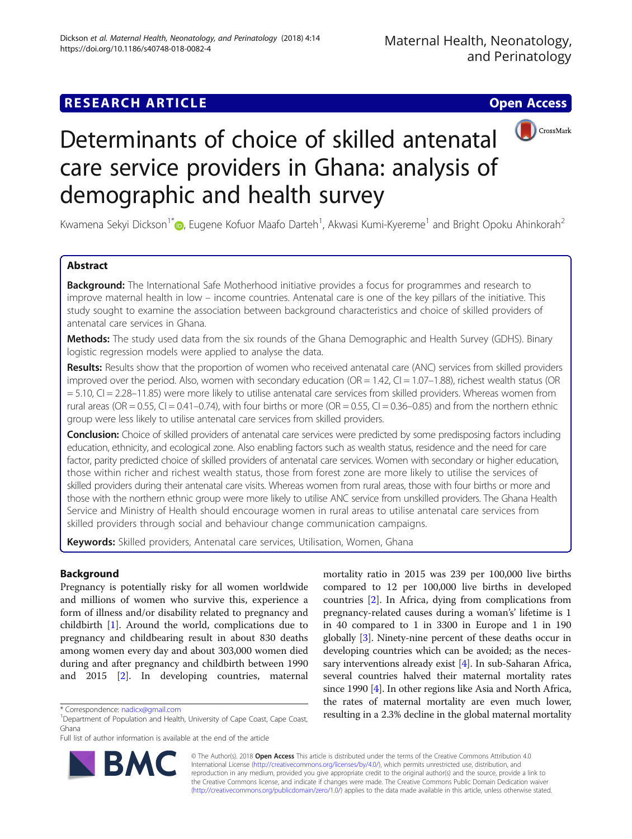# **RESEARCH ARTICLE Example 2014 12:30 The Contract of Contract ACCESS**



# Determinants of choice of skilled antenatal care service providers in Ghana: analysis of demographic and health survey

Kwamena Sekyi Dickson<sup>1[\\*](http://orcid.org/0000-0002-3152-2317)</sup>�, Eugene Kofuor Maafo Darteh<sup>1</sup>, Akwasi Kumi-Kyereme<sup>1</sup> and Bright Opoku Ahinkorah<sup>2</sup>

# Abstract

**Background:** The International Safe Motherhood initiative provides a focus for programmes and research to improve maternal health in low – income countries. Antenatal care is one of the key pillars of the initiative. This study sought to examine the association between background characteristics and choice of skilled providers of antenatal care services in Ghana.

Methods: The study used data from the six rounds of the Ghana Demographic and Health Survey (GDHS). Binary logistic regression models were applied to analyse the data.

Results: Results show that the proportion of women who received antenatal care (ANC) services from skilled providers improved over the period. Also, women with secondary education (OR = 1.42, CI = 1.07–1.88), richest wealth status (OR = 5.10, CI = 2.28–11.85) were more likely to utilise antenatal care services from skilled providers. Whereas women from rural areas (OR = 0.55, CI = 0.41–0.74), with four births or more (OR = 0.55, CI = 0.36–0.85) and from the northern ethnic group were less likely to utilise antenatal care services from skilled providers.

Conclusion: Choice of skilled providers of antenatal care services were predicted by some predisposing factors including education, ethnicity, and ecological zone. Also enabling factors such as wealth status, residence and the need for care factor, parity predicted choice of skilled providers of antenatal care services. Women with secondary or higher education, those within richer and richest wealth status, those from forest zone are more likely to utilise the services of skilled providers during their antenatal care visits. Whereas women from rural areas, those with four births or more and those with the northern ethnic group were more likely to utilise ANC service from unskilled providers. The Ghana Health Service and Ministry of Health should encourage women in rural areas to utilise antenatal care services from skilled providers through social and behaviour change communication campaigns.

Keywords: Skilled providers, Antenatal care services, Utilisation, Women, Ghana

# Background

Pregnancy is potentially risky for all women worldwide and millions of women who survive this, experience a form of illness and/or disability related to pregnancy and childbirth [\[1\]](#page-7-0). Around the world, complications due to pregnancy and childbearing result in about 830 deaths among women every day and about 303,000 women died during and after pregnancy and childbirth between 1990 and 2015 [\[2](#page-7-0)]. In developing countries, maternal

RA

Full list of author information is available at the end of the article



© The Author(s). 2018 Open Access This article is distributed under the terms of the Creative Commons Attribution 4.0 International License [\(http://creativecommons.org/licenses/by/4.0/](http://creativecommons.org/licenses/by/4.0/)), which permits unrestricted use, distribution, and reproduction in any medium, provided you give appropriate credit to the original author(s) and the source, provide a link to the Creative Commons license, and indicate if changes were made. The Creative Commons Public Domain Dedication waiver [\(http://creativecommons.org/publicdomain/zero/1.0/](http://creativecommons.org/publicdomain/zero/1.0/)) applies to the data made available in this article, unless otherwise stated.

<sup>&</sup>lt;sup>1</sup>Department of Population and Health, University of Cape Coast, Cape Coast, Ghana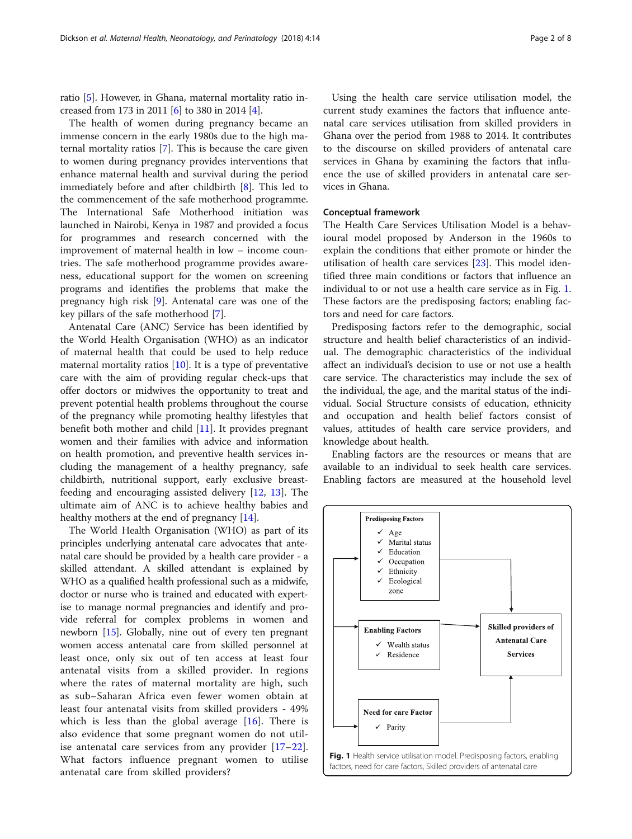ratio [[5](#page-7-0)]. However, in Ghana, maternal mortality ratio increased from 173 in 2011 [[6\]](#page-7-0) to 380 in 2014 [[4](#page-7-0)].

The health of women during pregnancy became an immense concern in the early 1980s due to the high maternal mortality ratios [\[7](#page-7-0)]. This is because the care given to women during pregnancy provides interventions that enhance maternal health and survival during the period immediately before and after childbirth [\[8](#page-7-0)]. This led to the commencement of the safe motherhood programme. The International Safe Motherhood initiation was launched in Nairobi, Kenya in 1987 and provided a focus for programmes and research concerned with the improvement of maternal health in low – income countries. The safe motherhood programme provides awareness, educational support for the women on screening programs and identifies the problems that make the pregnancy high risk [\[9](#page-7-0)]. Antenatal care was one of the key pillars of the safe motherhood [[7\]](#page-7-0).

Antenatal Care (ANC) Service has been identified by the World Health Organisation (WHO) as an indicator of maternal health that could be used to help reduce maternal mortality ratios  $[10]$ . It is a type of preventative care with the aim of providing regular check-ups that offer doctors or midwives the opportunity to treat and prevent potential health problems throughout the course of the pregnancy while promoting healthy lifestyles that benefit both mother and child [\[11\]](#page-7-0). It provides pregnant women and their families with advice and information on health promotion, and preventive health services including the management of a healthy pregnancy, safe childbirth, nutritional support, early exclusive breastfeeding and encouraging assisted delivery [[12,](#page-7-0) [13\]](#page-7-0). The ultimate aim of ANC is to achieve healthy babies and healthy mothers at the end of pregnancy [\[14\]](#page-7-0).

The World Health Organisation (WHO) as part of its principles underlying antenatal care advocates that antenatal care should be provided by a health care provider - a skilled attendant. A skilled attendant is explained by WHO as a qualified health professional such as a midwife, doctor or nurse who is trained and educated with expertise to manage normal pregnancies and identify and provide referral for complex problems in women and newborn [[15](#page-7-0)]. Globally, nine out of every ten pregnant women access antenatal care from skilled personnel at least once, only six out of ten access at least four antenatal visits from a skilled provider. In regions where the rates of maternal mortality are high, such as sub–Saharan Africa even fewer women obtain at least four antenatal visits from skilled providers - 49% which is less than the global average  $[16]$  $[16]$ . There is also evidence that some pregnant women do not utilise antenatal care services from any provider [[17](#page-7-0)–[22](#page-7-0)]. What factors influence pregnant women to utilise antenatal care from skilled providers?

Using the health care service utilisation model, the current study examines the factors that influence antenatal care services utilisation from skilled providers in Ghana over the period from 1988 to 2014. It contributes to the discourse on skilled providers of antenatal care services in Ghana by examining the factors that influence the use of skilled providers in antenatal care services in Ghana.

# Conceptual framework

The Health Care Services Utilisation Model is a behavioural model proposed by Anderson in the 1960s to explain the conditions that either promote or hinder the utilisation of health care services [\[23\]](#page-7-0). This model identified three main conditions or factors that influence an individual to or not use a health care service as in Fig. 1. These factors are the predisposing factors; enabling factors and need for care factors.

Predisposing factors refer to the demographic, social structure and health belief characteristics of an individual. The demographic characteristics of the individual affect an individual's decision to use or not use a health care service. The characteristics may include the sex of the individual, the age, and the marital status of the individual. Social Structure consists of education, ethnicity and occupation and health belief factors consist of values, attitudes of health care service providers, and knowledge about health.

Enabling factors are the resources or means that are available to an individual to seek health care services. Enabling factors are measured at the household level

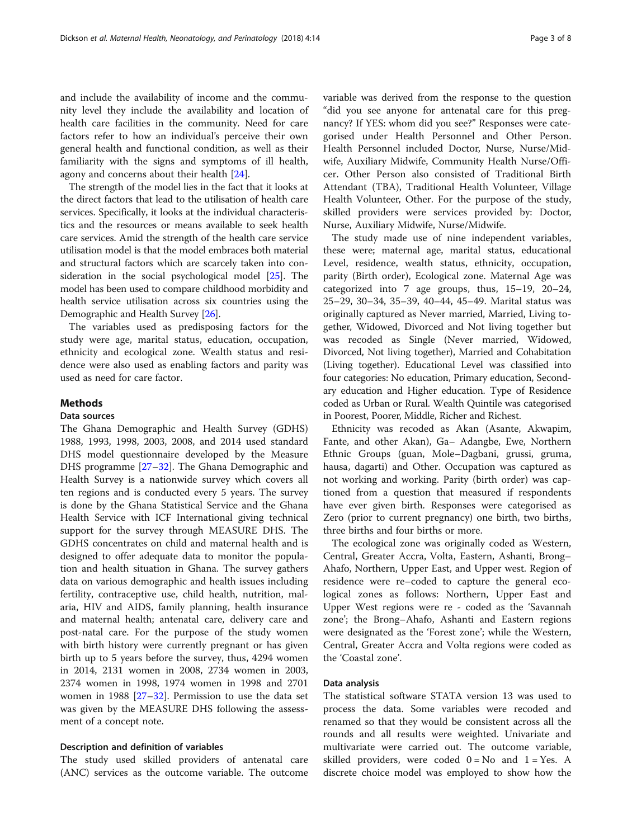and include the availability of income and the community level they include the availability and location of health care facilities in the community. Need for care factors refer to how an individual's perceive their own general health and functional condition, as well as their familiarity with the signs and symptoms of ill health, agony and concerns about their health [[24](#page-7-0)].

The strength of the model lies in the fact that it looks at the direct factors that lead to the utilisation of health care services. Specifically, it looks at the individual characteristics and the resources or means available to seek health care services. Amid the strength of the health care service utilisation model is that the model embraces both material and structural factors which are scarcely taken into consideration in the social psychological model [\[25\]](#page-7-0). The model has been used to compare childhood morbidity and health service utilisation across six countries using the Demographic and Health Survey [\[26\]](#page-7-0).

The variables used as predisposing factors for the study were age, marital status, education, occupation, ethnicity and ecological zone. Wealth status and residence were also used as enabling factors and parity was used as need for care factor.

# **Methods**

#### Data sources

The Ghana Demographic and Health Survey (GDHS) 1988, 1993, 1998, 2003, 2008, and 2014 used standard DHS model questionnaire developed by the Measure DHS programme [[27](#page-7-0)–[32](#page-7-0)]. The Ghana Demographic and Health Survey is a nationwide survey which covers all ten regions and is conducted every 5 years. The survey is done by the Ghana Statistical Service and the Ghana Health Service with ICF International giving technical support for the survey through MEASURE DHS. The GDHS concentrates on child and maternal health and is designed to offer adequate data to monitor the population and health situation in Ghana. The survey gathers data on various demographic and health issues including fertility, contraceptive use, child health, nutrition, malaria, HIV and AIDS, family planning, health insurance and maternal health; antenatal care, delivery care and post-natal care. For the purpose of the study women with birth history were currently pregnant or has given birth up to 5 years before the survey, thus, 4294 women in 2014, 2131 women in 2008, 2734 women in 2003, 2374 women in 1998, 1974 women in 1998 and 2701 women in 1988 [[27](#page-7-0)–[32](#page-7-0)]. Permission to use the data set was given by the MEASURE DHS following the assessment of a concept note.

#### Description and definition of variables

The study used skilled providers of antenatal care (ANC) services as the outcome variable. The outcome variable was derived from the response to the question "did you see anyone for antenatal care for this pregnancy? If YES: whom did you see?" Responses were categorised under Health Personnel and Other Person. Health Personnel included Doctor, Nurse, Nurse/Midwife, Auxiliary Midwife, Community Health Nurse/Officer. Other Person also consisted of Traditional Birth Attendant (TBA), Traditional Health Volunteer, Village Health Volunteer, Other. For the purpose of the study, skilled providers were services provided by: Doctor, Nurse, Auxiliary Midwife, Nurse/Midwife.

The study made use of nine independent variables, these were; maternal age, marital status, educational Level, residence, wealth status, ethnicity, occupation, parity (Birth order), Ecological zone. Maternal Age was categorized into 7 age groups, thus, 15–19, 20–24, 25–29, 30–34, 35–39, 40–44, 45–49. Marital status was originally captured as Never married, Married, Living together, Widowed, Divorced and Not living together but was recoded as Single (Never married, Widowed, Divorced, Not living together), Married and Cohabitation (Living together). Educational Level was classified into four categories: No education, Primary education, Secondary education and Higher education. Type of Residence coded as Urban or Rural. Wealth Quintile was categorised in Poorest, Poorer, Middle, Richer and Richest.

Ethnicity was recoded as Akan (Asante, Akwapim, Fante, and other Akan), Ga– Adangbe, Ewe, Northern Ethnic Groups (guan, Mole–Dagbani, grussi, gruma, hausa, dagarti) and Other. Occupation was captured as not working and working. Parity (birth order) was captioned from a question that measured if respondents have ever given birth. Responses were categorised as Zero (prior to current pregnancy) one birth, two births, three births and four births or more.

The ecological zone was originally coded as Western, Central, Greater Accra, Volta, Eastern, Ashanti, Brong– Ahafo, Northern, Upper East, and Upper west. Region of residence were re–coded to capture the general ecological zones as follows: Northern, Upper East and Upper West regions were re - coded as the 'Savannah zone'; the Brong–Ahafo, Ashanti and Eastern regions were designated as the 'Forest zone'; while the Western, Central, Greater Accra and Volta regions were coded as the 'Coastal zone'.

# Data analysis

The statistical software STATA version 13 was used to process the data. Some variables were recoded and renamed so that they would be consistent across all the rounds and all results were weighted. Univariate and multivariate were carried out. The outcome variable, skilled providers, were coded  $0 = No$  and  $1 = Yes$ . A discrete choice model was employed to show how the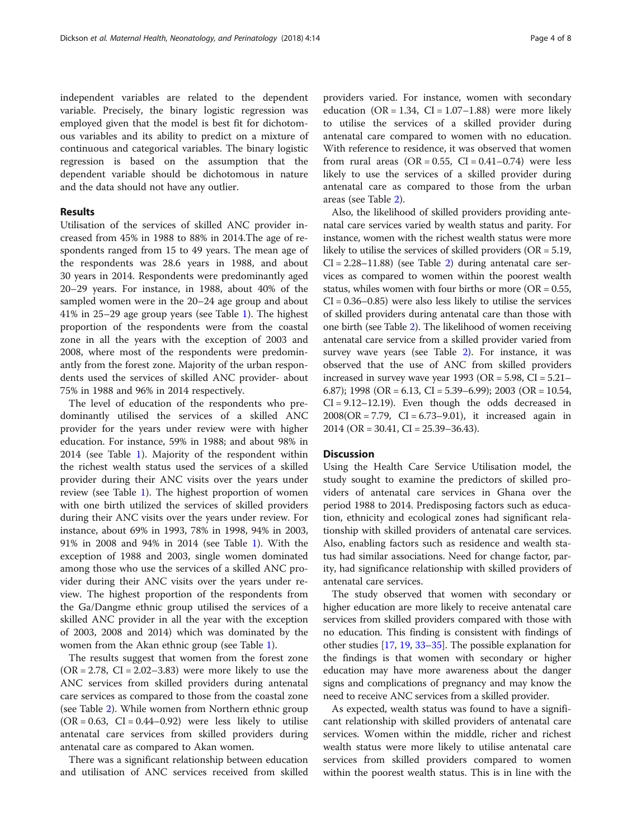independent variables are related to the dependent variable. Precisely, the binary logistic regression was employed given that the model is best fit for dichotomous variables and its ability to predict on a mixture of continuous and categorical variables. The binary logistic regression is based on the assumption that the dependent variable should be dichotomous in nature and the data should not have any outlier.

# Results

Utilisation of the services of skilled ANC provider increased from 45% in 1988 to 88% in 2014.The age of respondents ranged from 15 to 49 years. The mean age of the respondents was 28.6 years in 1988, and about 30 years in 2014. Respondents were predominantly aged 20–29 years. For instance, in 1988, about 40% of the sampled women were in the 20–24 age group and about 41% in 25–29 age group years (see Table [1](#page-4-0)). The highest proportion of the respondents were from the coastal zone in all the years with the exception of 2003 and 2008, where most of the respondents were predominantly from the forest zone. Majority of the urban respondents used the services of skilled ANC provider- about 75% in 1988 and 96% in 2014 respectively.

The level of education of the respondents who predominantly utilised the services of a skilled ANC provider for the years under review were with higher education. For instance, 59% in 1988; and about 98% in 2014 (see Table [1](#page-4-0)). Majority of the respondent within the richest wealth status used the services of a skilled provider during their ANC visits over the years under review (see Table [1](#page-4-0)). The highest proportion of women with one birth utilized the services of skilled providers during their ANC visits over the years under review. For instance, about 69% in 1993, 78% in 1998, 94% in 2003, 91% in 2008 and 94% in 2014 (see Table [1](#page-4-0)). With the exception of 1988 and 2003, single women dominated among those who use the services of a skilled ANC provider during their ANC visits over the years under review. The highest proportion of the respondents from the Ga/Dangme ethnic group utilised the services of a skilled ANC provider in all the year with the exception of 2003, 2008 and 2014) which was dominated by the women from the Akan ethnic group (see Table [1](#page-4-0)).

The results suggest that women from the forest zone  $(OR = 2.78, CI = 2.02 - 3.83)$  were more likely to use the ANC services from skilled providers during antenatal care services as compared to those from the coastal zone (see Table [2\)](#page-6-0). While women from Northern ethnic group  $(OR = 0.63, CI = 0.44 - 0.92)$  were less likely to utilise antenatal care services from skilled providers during antenatal care as compared to Akan women.

There was a significant relationship between education and utilisation of ANC services received from skilled

providers varied. For instance, women with secondary education (OR =  $1.34$ , CI =  $1.07-1.88$ ) were more likely to utilise the services of a skilled provider during antenatal care compared to women with no education. With reference to residence, it was observed that women from rural areas  $(OR = 0.55, CI = 0.41 - 0.74)$  were less likely to use the services of a skilled provider during antenatal care as compared to those from the urban areas (see Table [2\)](#page-6-0).

Also, the likelihood of skilled providers providing antenatal care services varied by wealth status and parity. For instance, women with the richest wealth status were more likely to utilise the services of skilled providers (OR = 5.19,  $CI = 2.28 - 11.88$ ) (see Table [2\)](#page-6-0) during antenatal care services as compared to women within the poorest wealth status, whiles women with four births or more ( $OR = 0.55$ ,  $CI = 0.36 - 0.85$ ) were also less likely to utilise the services of skilled providers during antenatal care than those with one birth (see Table [2](#page-6-0)). The likelihood of women receiving antenatal care service from a skilled provider varied from survey wave years (see Table [2](#page-6-0)). For instance, it was observed that the use of ANC from skilled providers increased in survey wave year 1993 (OR =  $5.98$ , CI =  $5.21-$ 6.87); 1998 (OR = 6.13, CI = 5.39–6.99); 2003 (OR = 10.54,  $CI = 9.12 - 12.19$ . Even though the odds decreased in  $2008(OR = 7.79, CI = 6.73-9.01), it increased again in$ 2014 (OR = 30.41, CI = 25.39–36.43).

# **Discussion**

Using the Health Care Service Utilisation model, the study sought to examine the predictors of skilled providers of antenatal care services in Ghana over the period 1988 to 2014. Predisposing factors such as education, ethnicity and ecological zones had significant relationship with skilled providers of antenatal care services. Also, enabling factors such as residence and wealth status had similar associations. Need for change factor, parity, had significance relationship with skilled providers of antenatal care services.

The study observed that women with secondary or higher education are more likely to receive antenatal care services from skilled providers compared with those with no education. This finding is consistent with findings of other studies [\[17,](#page-7-0) [19](#page-7-0), [33](#page-7-0)–[35](#page-7-0)]. The possible explanation for the findings is that women with secondary or higher education may have more awareness about the danger signs and complications of pregnancy and may know the need to receive ANC services from a skilled provider.

As expected, wealth status was found to have a significant relationship with skilled providers of antenatal care services. Women within the middle, richer and richest wealth status were more likely to utilise antenatal care services from skilled providers compared to women within the poorest wealth status. This is in line with the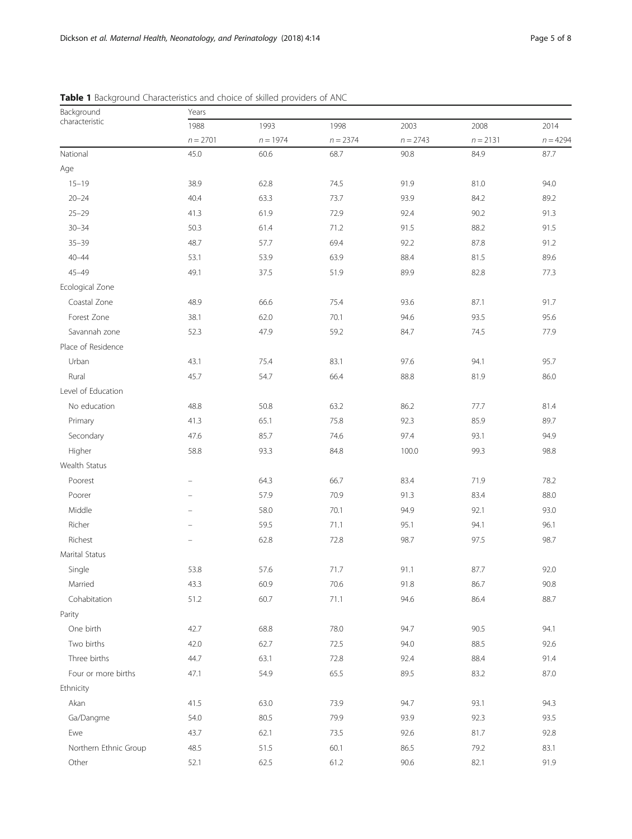| Background<br>characteristic | Years                    |                    |            |            |            |                    |  |
|------------------------------|--------------------------|--------------------|------------|------------|------------|--------------------|--|
|                              | 1988<br>$n = 2701$       | 1993<br>$n = 1974$ | 1998       | 2003       | 2008       | 2014<br>$n = 4294$ |  |
|                              |                          |                    | $n = 2374$ | $n = 2743$ | $n = 2131$ |                    |  |
| National                     | 45.0                     | 60.6               | 68.7       | 90.8       | 84.9       | 87.7               |  |
| Age                          |                          |                    |            |            |            |                    |  |
| $15 - 19$                    | 38.9                     | 62.8               | 74.5       | 91.9       | 81.0       | 94.0               |  |
| $20 - 24$                    | 40.4                     | 63.3               | 73.7       | 93.9       | 84.2       | 89.2               |  |
| $25 - 29$                    | 41.3                     | 61.9               | 72.9       | 92.4       | 90.2       | 91.3               |  |
| $30 - 34$                    | 50.3                     | 61.4               | 71.2       | 91.5       | 88.2       | 91.5               |  |
| $35 - 39$                    | 48.7                     | 57.7               | 69.4       | 92.2       | 87.8       | 91.2               |  |
| $40 - 44$                    | 53.1                     | 53.9               | 63.9       | 88.4       | 81.5       | 89.6               |  |
| $45 - 49$                    | 49.1                     | 37.5               | 51.9       | 89.9       | 82.8       | 77.3               |  |
| Ecological Zone              |                          |                    |            |            |            |                    |  |
| Coastal Zone                 | 48.9                     | 66.6               | 75.4       | 93.6       | 87.1       | 91.7               |  |
| Forest Zone                  | 38.1                     | 62.0               | 70.1       | 94.6       | 93.5       | 95.6               |  |
| Savannah zone                | 52.3                     | 47.9               | 59.2       | 84.7       | 74.5       | 77.9               |  |
| Place of Residence           |                          |                    |            |            |            |                    |  |
| Urban                        | 43.1                     | 75.4               | 83.1       | 97.6       | 94.1       | 95.7               |  |
| Rural                        | 45.7                     | 54.7               | 66.4       | 88.8       | 81.9       | 86.0               |  |
| Level of Education           |                          |                    |            |            |            |                    |  |
| No education                 | 48.8                     | 50.8               | 63.2       | 86.2       | 77.7       | 81.4               |  |
| Primary                      | 41.3                     | 65.1               | 75.8       | 92.3       | 85.9       | 89.7               |  |
| Secondary                    | 47.6                     | 85.7               | 74.6       | 97.4       | 93.1       | 94.9               |  |
| Higher                       | 58.8                     | 93.3               | 84.8       | 100.0      | 99.3       | 98.8               |  |
| Wealth Status                |                          |                    |            |            |            |                    |  |
| Poorest                      | $\overline{\phantom{0}}$ | 64.3               | 66.7       | 83.4       | 71.9       | 78.2               |  |
| Poorer                       |                          | 57.9               | 70.9       | 91.3       | 83.4       | 88.0               |  |
| Middle                       |                          | 58.0               | 70.1       | 94.9       | 92.1       | 93.0               |  |
| Richer                       |                          | 59.5               | 71.1       | 95.1       | 94.1       | 96.1               |  |
| Richest                      |                          | 62.8               | 72.8       | 98.7       | 97.5       | 98.7               |  |
| Marital Status               |                          |                    |            |            |            |                    |  |
| Single                       | 53.8                     | 57.6               | 71.7       | 91.1       | 87.7       | 92.0               |  |
| Married                      | 43.3                     | 60.9               | 70.6       | 91.8       | 86.7       | 90.8               |  |
| Cohabitation                 | 51.2                     | 60.7               | 71.1       | 94.6       | 86.4       | 88.7               |  |
| Parity                       |                          |                    |            |            |            |                    |  |
| One birth                    | 42.7                     | 68.8               | 78.0       | 94.7       | 90.5       | 94.1               |  |
| Two births                   | 42.0                     | 62.7               | 72.5       | 94.0       | 88.5       | 92.6               |  |
| Three births                 | 44.7                     | 63.1               | 72.8       | 92.4       | 88.4       | 91.4               |  |
| Four or more births          | 47.1                     | 54.9               | 65.5       | 89.5       | 83.2       | 87.0               |  |
| Ethnicity                    |                          |                    |            |            |            |                    |  |
| Akan                         | 41.5                     | 63.0               | 73.9       | 94.7       | 93.1       | 94.3               |  |
| Ga/Dangme                    | 54.0                     | 80.5               | 79.9       | 93.9       | 92.3       | 93.5               |  |
| Ewe                          | 43.7                     | 62.1               | 73.5       | 92.6       | 81.7       | 92.8               |  |
| Northern Ethnic Group        | 48.5                     | 51.5               | 60.1       | 86.5       | 79.2       | 83.1               |  |
| Other                        | 52.1                     | 62.5               | 61.2       | 90.6       | 82.1       | 91.9               |  |

<span id="page-4-0"></span>Table 1 Background Characteristics and choice of skilled providers of ANC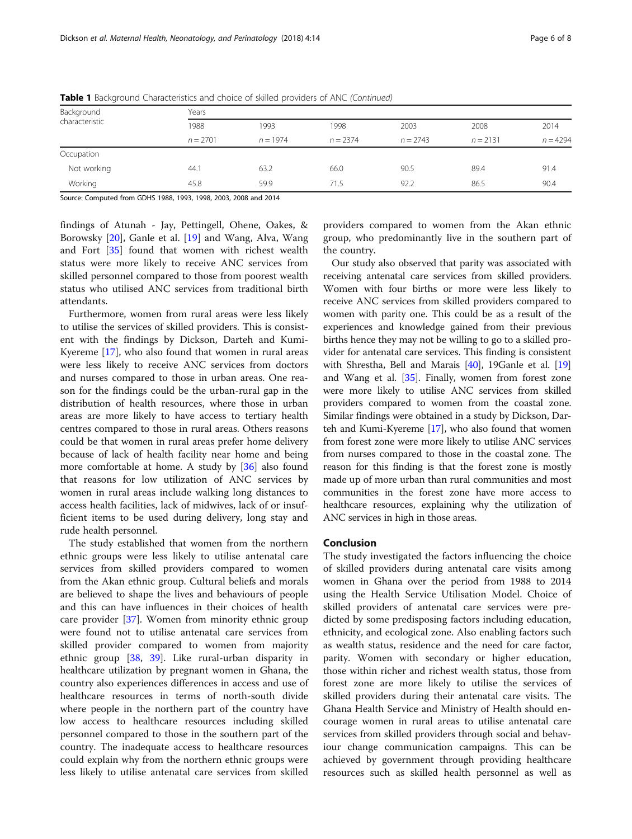| Background<br>characteristic | Years              |                    |                    |                    |                    |                    |            |
|------------------------------|--------------------|--------------------|--------------------|--------------------|--------------------|--------------------|------------|
|                              | 1988<br>$n = 2701$ | 1993<br>$n = 1974$ | 1998<br>$n = 2374$ | 2003<br>$n = 2743$ | 2008<br>$n = 2131$ | 2014<br>$n = 4294$ |            |
|                              |                    |                    |                    |                    |                    |                    | Occupation |
| Not working                  | 44.1               | 63.2               | 66.0               | 90.5               | 89.4               | 91.4               |            |
| Working                      | 45.8               | 59.9               | 71.5               | 92.2               | 86.5               | 90.4               |            |

Table 1 Background Characteristics and choice of skilled providers of ANC (Continued)

Source: Computed from GDHS 1988, 1993, 1998, 2003, 2008 and 2014

findings of Atunah - Jay, Pettingell, Ohene, Oakes, & Borowsky [\[20\]](#page-7-0), Ganle et al. [\[19](#page-7-0)] and Wang, Alva, Wang and Fort [[35\]](#page-7-0) found that women with richest wealth status were more likely to receive ANC services from skilled personnel compared to those from poorest wealth status who utilised ANC services from traditional birth attendants.

Furthermore, women from rural areas were less likely to utilise the services of skilled providers. This is consistent with the findings by Dickson, Darteh and Kumi-Kyereme [[17\]](#page-7-0), who also found that women in rural areas were less likely to receive ANC services from doctors and nurses compared to those in urban areas. One reason for the findings could be the urban-rural gap in the distribution of health resources, where those in urban areas are more likely to have access to tertiary health centres compared to those in rural areas. Others reasons could be that women in rural areas prefer home delivery because of lack of health facility near home and being more comfortable at home. A study by [[36\]](#page-7-0) also found that reasons for low utilization of ANC services by women in rural areas include walking long distances to access health facilities, lack of midwives, lack of or insufficient items to be used during delivery, long stay and rude health personnel.

The study established that women from the northern ethnic groups were less likely to utilise antenatal care services from skilled providers compared to women from the Akan ethnic group. Cultural beliefs and morals are believed to shape the lives and behaviours of people and this can have influences in their choices of health care provider [[37\]](#page-7-0). Women from minority ethnic group were found not to utilise antenatal care services from skilled provider compared to women from majority ethnic group [[38](#page-7-0), [39\]](#page-7-0). Like rural-urban disparity in healthcare utilization by pregnant women in Ghana, the country also experiences differences in access and use of healthcare resources in terms of north-south divide where people in the northern part of the country have low access to healthcare resources including skilled personnel compared to those in the southern part of the country. The inadequate access to healthcare resources could explain why from the northern ethnic groups were less likely to utilise antenatal care services from skilled

providers compared to women from the Akan ethnic group, who predominantly live in the southern part of the country.

Our study also observed that parity was associated with receiving antenatal care services from skilled providers. Women with four births or more were less likely to receive ANC services from skilled providers compared to women with parity one. This could be as a result of the experiences and knowledge gained from their previous births hence they may not be willing to go to a skilled provider for antenatal care services. This finding is consistent with Shrestha, Bell and Marais [\[40\]](#page-7-0), 19Ganle et al. [[19](#page-7-0)] and Wang et al. [[35](#page-7-0)]. Finally, women from forest zone were more likely to utilise ANC services from skilled providers compared to women from the coastal zone. Similar findings were obtained in a study by Dickson, Darteh and Kumi-Kyereme [\[17\]](#page-7-0), who also found that women from forest zone were more likely to utilise ANC services from nurses compared to those in the coastal zone. The reason for this finding is that the forest zone is mostly made up of more urban than rural communities and most communities in the forest zone have more access to healthcare resources, explaining why the utilization of ANC services in high in those areas.

## Conclusion

The study investigated the factors influencing the choice of skilled providers during antenatal care visits among women in Ghana over the period from 1988 to 2014 using the Health Service Utilisation Model. Choice of skilled providers of antenatal care services were predicted by some predisposing factors including education, ethnicity, and ecological zone. Also enabling factors such as wealth status, residence and the need for care factor, parity. Women with secondary or higher education, those within richer and richest wealth status, those from forest zone are more likely to utilise the services of skilled providers during their antenatal care visits. The Ghana Health Service and Ministry of Health should encourage women in rural areas to utilise antenatal care services from skilled providers through social and behaviour change communication campaigns. This can be achieved by government through providing healthcare resources such as skilled health personnel as well as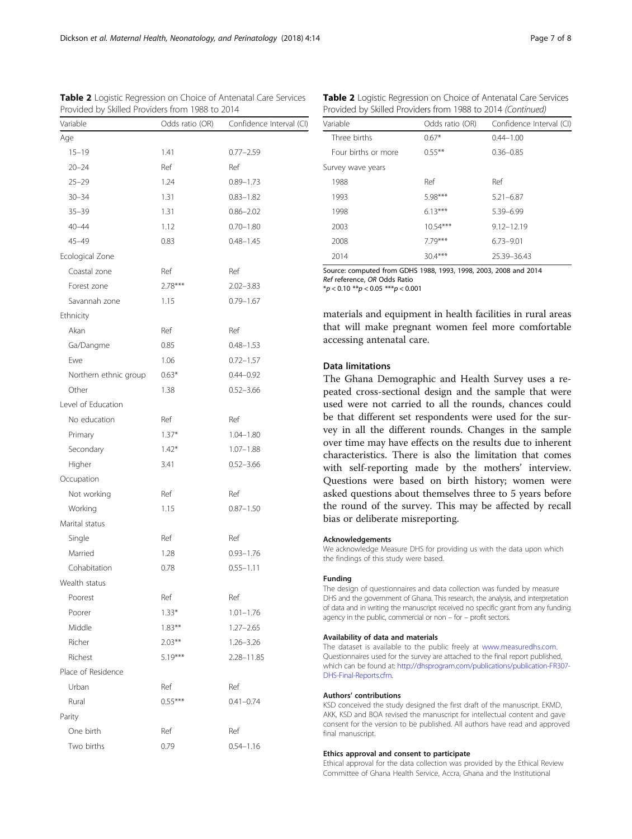<span id="page-6-0"></span>Dickson et al. Maternal Health, Neonatology, and Perinatology (2018) 4:14 Page 7 of 8

| Variable              | Odds ratio (OR) | Confidence Interval (CI) |
|-----------------------|-----------------|--------------------------|
| Age                   |                 |                          |
| $15 - 19$             | 1.41            | $0.77 - 2.59$            |
| $20 - 24$             | Ref             | Ref                      |
| $25 - 29$             | 1.24            | $0.89 - 1.73$            |
| $30 - 34$             | 1.31            | $0.83 - 1.82$            |
| $35 - 39$             | 1.31            | $0.86 - 2.02$            |
| $40 - 44$             | 1.12            | $0.70 - 1.80$            |
| $45 - 49$             | 0.83            | $0.48 - 1.45$            |
| Ecological Zone       |                 |                          |
| Coastal zone          | Ref             | Ref                      |
| Forest zone           | $2.78***$       | $2.02 - 3.83$            |
| Savannah zone         | 1.15            | $0.79 - 1.67$            |
| Ethnicity             |                 |                          |
| Akan                  | Ref             | Ref                      |
| Ga/Dangme             | 0.85            | $0.48 - 1.53$            |
| Ewe                   | 1.06            | $0.72 - 1.57$            |
| Northern ethnic group | $0.63*$         | $0.44 - 0.92$            |
| Other                 | 1.38            | $0.52 - 3.66$            |
| Level of Education    |                 |                          |
| No education          | Ref             | Ref                      |
| Primary               | $1.37*$         | $1.04 - 1.80$            |
| Secondary             | $1.42*$         | $1.07 - 1.88$            |
| Higher                | 3.41            | $0.52 - 3.66$            |
| Occupation            |                 |                          |
| Not working           | Ref             | Ref                      |
| Working               | 1.15            | $0.87 - 1.50$            |
| Marital status        |                 |                          |
| Single                | Ref             | Ref                      |
| Married               | 1.28            | $0.93 - 1.76$            |
| Cohabitation          | 0.78            | $0.55 - 1.11$            |
| Wealth status         |                 |                          |
| Poorest               | Ref             | Ref                      |
| Poorer                | $1.33*$         | $1.01 - 1.76$            |
| Middle                | $1.83***$       | $1.27 - 2.65$            |
| Richer                | $2.03**$        | $1.26 - 3.26$            |
| Richest               | $5.19***$       | 2.28-11.85               |
| Place of Residence    |                 |                          |
| Urban                 | Ref             | Ref                      |
| Rural                 | $0.55***$       | $0.41 - 0.74$            |
| Parity                |                 |                          |
| One birth             | Ref             | Ref                      |
| Two births            | 0.79            | $0.54 - 1.16$            |
|                       |                 |                          |

Table 2 Logistic Regression on Choice of Antenatal Care Services Provided by Skilled Providers from 1988 to 2014 Table 2 Logistic Regression on Choice of Antenatal Care Services Provided by Skilled Providers from 1988 to 2014 (Continued)

| Variable            | Odds ratio (OR) | Confidence Interval (CI) |
|---------------------|-----------------|--------------------------|
| Three births        | $0.67*$         | $0.44 - 1.00$            |
| Four births or more | $0.55***$       | $0.36 - 0.85$            |
| Survey wave years   |                 |                          |
| 1988                | Ref             | Ref                      |
| 1993                | 5.98***         | $5.21 - 6.87$            |
| 1998                | $6.13***$       | 5.39-6.99                |
| 2003                | $10.54***$      | $9.12 - 12.19$           |
| 2008                | 7.79***         | $6.73 - 9.01$            |
| 2014                | $30.4***$       | 25.39-36.43              |
|                     |                 |                          |

Source: computed from GDHS 1988, 1993, 1998, 2003, 2008 and 2014 Ref reference, OR Odds Ratio  $**p* < 0.10$   $***p* < 0.05$   $***p* < 0.001$ 

materials and equipment in health facilities in rural areas that will make pregnant women feel more comfortable accessing antenatal care.

# Data limitations

The Ghana Demographic and Health Survey uses a repeated cross-sectional design and the sample that were used were not carried to all the rounds, chances could be that different set respondents were used for the survey in all the different rounds. Changes in the sample over time may have effects on the results due to inherent characteristics. There is also the limitation that comes with self-reporting made by the mothers' interview. Questions were based on birth history; women were asked questions about themselves three to 5 years before the round of the survey. This may be affected by recall bias or deliberate misreporting.

#### Acknowledgements

We acknowledge Measure DHS for providing us with the data upon which the findings of this study were based.

#### Funding

The design of questionnaires and data collection was funded by measure DHS and the government of Ghana. This research, the analysis, and interpretation of data and in writing the manuscript received no specific grant from any funding agency in the public, commercial or non – for – profit sectors.

#### Availability of data and materials

The dataset is available to the public freely at [www.measuredhs.com](http://www.measuredhs.com). Questionnaires used for the survey are attached to the final report published, which can be found at: [http://dhsprogram.com/publications/publication-FR307-](http://dhsprogram.com/publications/publication-FR307-DHS-Final-Reports.cfm) [DHS-Final-Reports.cfm](http://dhsprogram.com/publications/publication-FR307-DHS-Final-Reports.cfm).

#### Authors' contributions

KSD conceived the study designed the first draft of the manuscript. EKMD, AKK, KSD and BOA revised the manuscript for intellectual content and gave consent for the version to be published. All authors have read and approved final manuscript.

#### Ethics approval and consent to participate

Ethical approval for the data collection was provided by the Ethical Review Committee of Ghana Health Service, Accra, Ghana and the Institutional